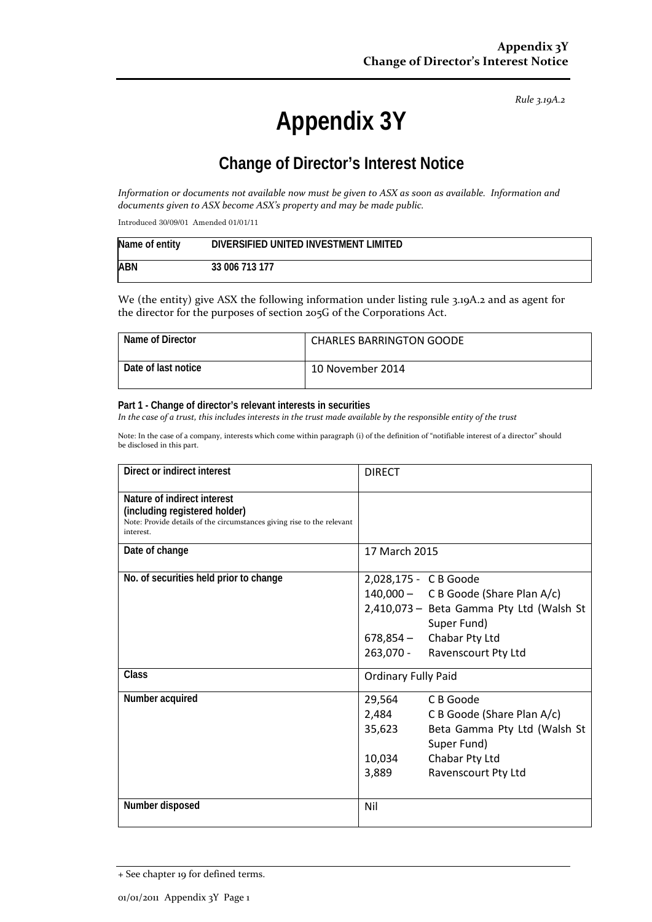*Rule 3.19A.2*

# **Appendix 3Y**

# **Change of Director's Interest Notice**

*Information or documents not available now must be given to ASX as soon as available. Information and documents given to ASX become ASX's property and may be made public.*

Introduced 30/09/01 Amended 01/01/11

| Name of entity | DIVERSIFIED UNITED INVESTMENT LIMITED |
|----------------|---------------------------------------|
| <b>ABN</b>     | 33 006 713 177                        |

We (the entity) give ASX the following information under listing rule 3.19A.2 and as agent for the director for the purposes of section 205G of the Corporations Act.

| Name of Director    | <b>CHARLES BARRINGTON GOODE</b> |
|---------------------|---------------------------------|
| Date of last notice | 10 November 2014                |

#### **Part 1 - Change of director's relevant interests in securities**

*In the case of a trust, this includes interests in the trust made available by the responsible entity of the trust*

Note: In the case of a company, interests which come within paragraph (i) of the definition of "notifiable interest of a director" should be disclosed in this part.

| Direct or indirect interest                                                                                                                         | <b>DIRECT</b>                                                                                                                                                                           |  |
|-----------------------------------------------------------------------------------------------------------------------------------------------------|-----------------------------------------------------------------------------------------------------------------------------------------------------------------------------------------|--|
| Nature of indirect interest<br>(including registered holder)<br>Note: Provide details of the circumstances giving rise to the relevant<br>interest. |                                                                                                                                                                                         |  |
| Date of change                                                                                                                                      | 17 March 2015                                                                                                                                                                           |  |
| No. of securities held prior to change                                                                                                              | 2,028,175 - C B Goode<br>140,000 - C B Goode (Share Plan A/c)<br>2,410,073 - Beta Gamma Pty Ltd (Walsh St<br>Super Fund)<br>$678,854$ - Chabar Pty Ltd<br>263,070 - Ravenscourt Pty Ltd |  |
| <b>Class</b>                                                                                                                                        | <b>Ordinary Fully Paid</b>                                                                                                                                                              |  |
| Number acquired                                                                                                                                     | C B Goode<br>29,564<br>2,484<br>C B Goode (Share Plan A/c)<br>35,623<br>Beta Gamma Pty Ltd (Walsh St<br>Super Fund)<br>Chabar Pty Ltd<br>10,034<br>3,889<br>Ravenscourt Pty Ltd         |  |
| Number disposed                                                                                                                                     | Nil                                                                                                                                                                                     |  |

<sup>+</sup> See chapter 19 for defined terms.